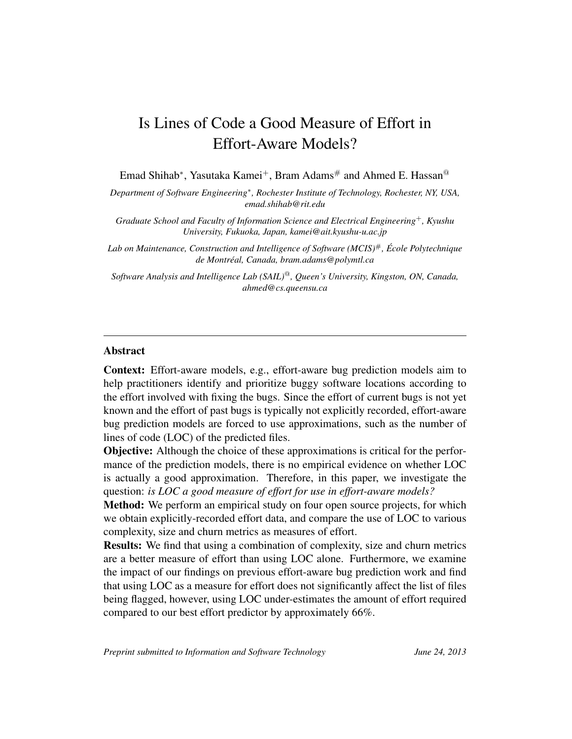# Is Lines of Code a Good Measure of Effort in Effort-Aware Models?

Emad Shihab\*, Yasutaka Kamei<sup>+</sup>, Bram Adams<sup>#</sup> and Ahmed E. Hassan®

*Department of Software Engineering*<sup>∗</sup> *, Rochester Institute of Technology, Rochester, NY, USA, emad.shihab@rit.edu*

*Graduate School and Faculty of Information Science and Electrical Engineering*+*, Kyushu University, Fukuoka, Japan, kamei@ait.kyushu-u.ac.jp*

*Lab on Maintenance, Construction and Intelligence of Software (MCIS)*#*, Ecole Polytechnique ´ de Montreal, Canada, bram.adams@polymtl.ca ´*

*Software Analysis and Intelligence Lab (SAIL)*@*, Queen's University, Kingston, ON, Canada, ahmed@cs.queensu.ca*

# Abstract

Context: Effort-aware models, e.g., effort-aware bug prediction models aim to help practitioners identify and prioritize buggy software locations according to the effort involved with fixing the bugs. Since the effort of current bugs is not yet known and the effort of past bugs is typically not explicitly recorded, effort-aware bug prediction models are forced to use approximations, such as the number of lines of code (LOC) of the predicted files.

Objective: Although the choice of these approximations is critical for the performance of the prediction models, there is no empirical evidence on whether LOC is actually a good approximation. Therefore, in this paper, we investigate the question: *is LOC a good measure of effort for use in effort-aware models?*

Method: We perform an empirical study on four open source projects, for which we obtain explicitly-recorded effort data, and compare the use of LOC to various complexity, size and churn metrics as measures of effort.

Results: We find that using a combination of complexity, size and churn metrics are a better measure of effort than using LOC alone. Furthermore, we examine the impact of our findings on previous effort-aware bug prediction work and find that using LOC as a measure for effort does not significantly affect the list of files being flagged, however, using LOC under-estimates the amount of effort required compared to our best effort predictor by approximately 66%.

*Preprint submitted to Information and Software Technology June 24, 2013*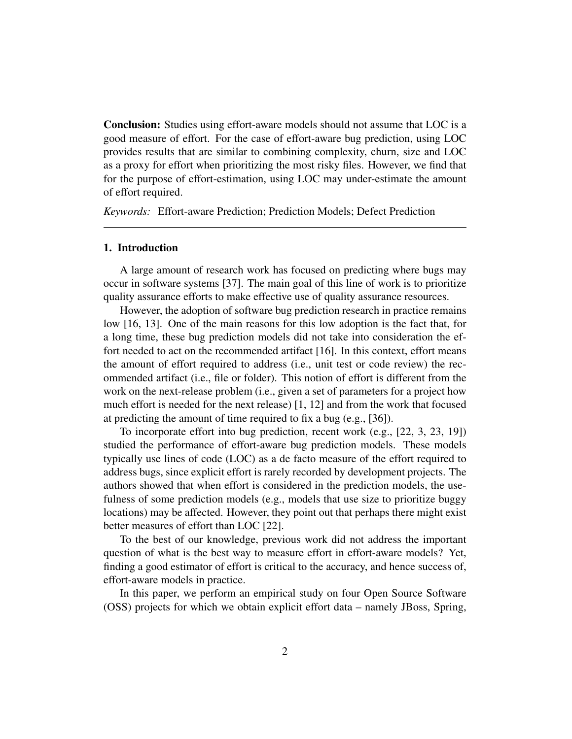Conclusion: Studies using effort-aware models should not assume that LOC is a good measure of effort. For the case of effort-aware bug prediction, using LOC provides results that are similar to combining complexity, churn, size and LOC as a proxy for effort when prioritizing the most risky files. However, we find that for the purpose of effort-estimation, using LOC may under-estimate the amount of effort required.

*Keywords:* Effort-aware Prediction; Prediction Models; Defect Prediction

# 1. Introduction

A large amount of research work has focused on predicting where bugs may occur in software systems [37]. The main goal of this line of work is to prioritize quality assurance efforts to make effective use of quality assurance resources.

However, the adoption of software bug prediction research in practice remains low [16, 13]. One of the main reasons for this low adoption is the fact that, for a long time, these bug prediction models did not take into consideration the effort needed to act on the recommended artifact [16]. In this context, effort means the amount of effort required to address (i.e., unit test or code review) the recommended artifact (i.e., file or folder). This notion of effort is different from the work on the next-release problem (i.e., given a set of parameters for a project how much effort is needed for the next release) [1, 12] and from the work that focused at predicting the amount of time required to fix a bug (e.g., [36]).

To incorporate effort into bug prediction, recent work (e.g., [22, 3, 23, 19]) studied the performance of effort-aware bug prediction models. These models typically use lines of code (LOC) as a de facto measure of the effort required to address bugs, since explicit effort is rarely recorded by development projects. The authors showed that when effort is considered in the prediction models, the usefulness of some prediction models (e.g., models that use size to prioritize buggy locations) may be affected. However, they point out that perhaps there might exist better measures of effort than LOC [22].

To the best of our knowledge, previous work did not address the important question of what is the best way to measure effort in effort-aware models? Yet, finding a good estimator of effort is critical to the accuracy, and hence success of, effort-aware models in practice.

In this paper, we perform an empirical study on four Open Source Software (OSS) projects for which we obtain explicit effort data – namely JBoss, Spring,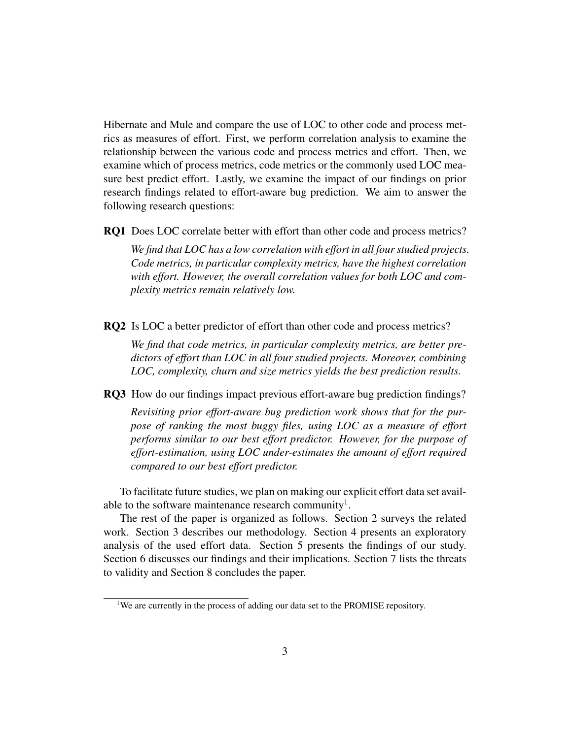Hibernate and Mule and compare the use of LOC to other code and process metrics as measures of effort. First, we perform correlation analysis to examine the relationship between the various code and process metrics and effort. Then, we examine which of process metrics, code metrics or the commonly used LOC measure best predict effort. Lastly, we examine the impact of our findings on prior research findings related to effort-aware bug prediction. We aim to answer the following research questions:

RQ1 Does LOC correlate better with effort than other code and process metrics?

*We find that LOC has a low correlation with effort in all four studied projects. Code metrics, in particular complexity metrics, have the highest correlation with effort. However, the overall correlation values for both LOC and complexity metrics remain relatively low.*

RQ2 Is LOC a better predictor of effort than other code and process metrics?

*We find that code metrics, in particular complexity metrics, are better predictors of effort than LOC in all four studied projects. Moreover, combining LOC, complexity, churn and size metrics yields the best prediction results.*

RQ3 How do our findings impact previous effort-aware bug prediction findings?

*Revisiting prior effort-aware bug prediction work shows that for the purpose of ranking the most buggy files, using LOC as a measure of effort performs similar to our best effort predictor. However, for the purpose of effort-estimation, using LOC under-estimates the amount of effort required compared to our best effort predictor.*

To facilitate future studies, we plan on making our explicit effort data set available to the software maintenance research community<sup>1</sup>.

The rest of the paper is organized as follows. Section 2 surveys the related work. Section 3 describes our methodology. Section 4 presents an exploratory analysis of the used effort data. Section 5 presents the findings of our study. Section 6 discusses our findings and their implications. Section 7 lists the threats to validity and Section 8 concludes the paper.

<sup>&</sup>lt;sup>1</sup>We are currently in the process of adding our data set to the PROMISE repository.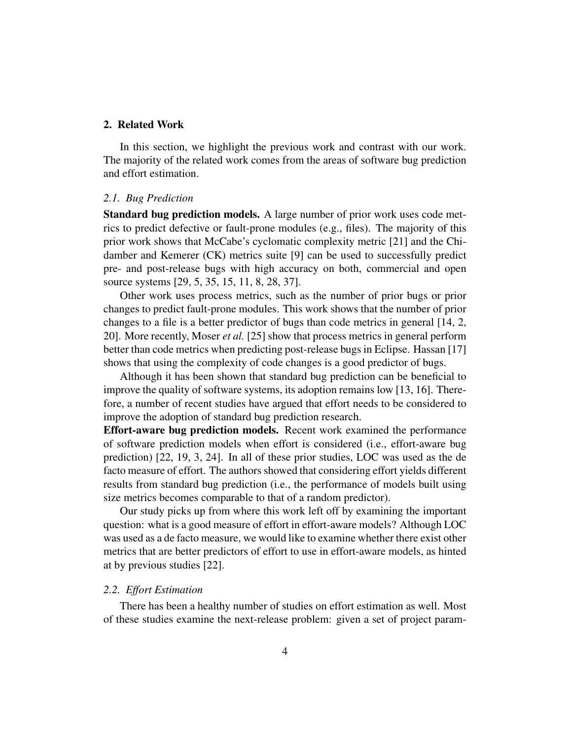# 2. Related Work

In this section, we highlight the previous work and contrast with our work. The majority of the related work comes from the areas of software bug prediction and effort estimation.

#### *2.1. Bug Prediction*

Standard bug prediction models. A large number of prior work uses code metrics to predict defective or fault-prone modules (e.g., files). The majority of this prior work shows that McCabe's cyclomatic complexity metric [21] and the Chidamber and Kemerer (CK) metrics suite [9] can be used to successfully predict pre- and post-release bugs with high accuracy on both, commercial and open source systems [29, 5, 35, 15, 11, 8, 28, 37].

Other work uses process metrics, such as the number of prior bugs or prior changes to predict fault-prone modules. This work shows that the number of prior changes to a file is a better predictor of bugs than code metrics in general [14, 2, 20]. More recently, Moser *et al.* [25] show that process metrics in general perform better than code metrics when predicting post-release bugs in Eclipse. Hassan [17] shows that using the complexity of code changes is a good predictor of bugs.

Although it has been shown that standard bug prediction can be beneficial to improve the quality of software systems, its adoption remains low [13, 16]. Therefore, a number of recent studies have argued that effort needs to be considered to improve the adoption of standard bug prediction research.

Effort-aware bug prediction models. Recent work examined the performance of software prediction models when effort is considered (i.e., effort-aware bug prediction) [22, 19, 3, 24]. In all of these prior studies, LOC was used as the de facto measure of effort. The authors showed that considering effort yields different results from standard bug prediction (i.e., the performance of models built using size metrics becomes comparable to that of a random predictor).

Our study picks up from where this work left off by examining the important question: what is a good measure of effort in effort-aware models? Although LOC was used as a de facto measure, we would like to examine whether there exist other metrics that are better predictors of effort to use in effort-aware models, as hinted at by previous studies [22].

#### *2.2. Effort Estimation*

There has been a healthy number of studies on effort estimation as well. Most of these studies examine the next-release problem: given a set of project param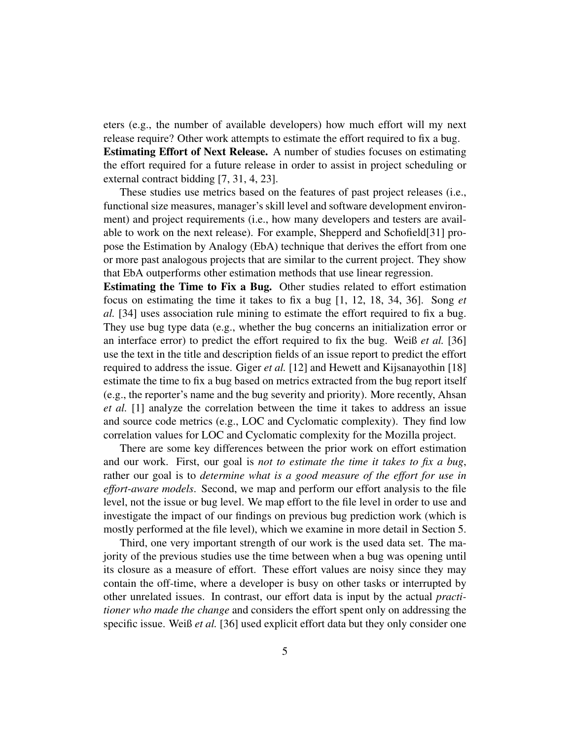eters (e.g., the number of available developers) how much effort will my next release require? Other work attempts to estimate the effort required to fix a bug. Estimating Effort of Next Release. A number of studies focuses on estimating the effort required for a future release in order to assist in project scheduling or external contract bidding [7, 31, 4, 23].

These studies use metrics based on the features of past project releases (i.e., functional size measures, manager's skill level and software development environment) and project requirements (i.e., how many developers and testers are available to work on the next release). For example, Shepperd and Schofield[31] propose the Estimation by Analogy (EbA) technique that derives the effort from one or more past analogous projects that are similar to the current project. They show that EbA outperforms other estimation methods that use linear regression.

Estimating the Time to Fix a Bug. Other studies related to effort estimation focus on estimating the time it takes to fix a bug [1, 12, 18, 34, 36]. Song *et al.* [34] uses association rule mining to estimate the effort required to fix a bug. They use bug type data (e.g., whether the bug concerns an initialization error or an interface error) to predict the effort required to fix the bug. Weiß *et al.* [36] use the text in the title and description fields of an issue report to predict the effort required to address the issue. Giger *et al.* [12] and Hewett and Kijsanayothin [18] estimate the time to fix a bug based on metrics extracted from the bug report itself (e.g., the reporter's name and the bug severity and priority). More recently, Ahsan *et al.* [1] analyze the correlation between the time it takes to address an issue and source code metrics (e.g., LOC and Cyclomatic complexity). They find low correlation values for LOC and Cyclomatic complexity for the Mozilla project.

There are some key differences between the prior work on effort estimation and our work. First, our goal is *not to estimate the time it takes to fix a bug*, rather our goal is to *determine what is a good measure of the effort for use in effort-aware models*. Second, we map and perform our effort analysis to the file level, not the issue or bug level. We map effort to the file level in order to use and investigate the impact of our findings on previous bug prediction work (which is mostly performed at the file level), which we examine in more detail in Section 5.

Third, one very important strength of our work is the used data set. The majority of the previous studies use the time between when a bug was opening until its closure as a measure of effort. These effort values are noisy since they may contain the off-time, where a developer is busy on other tasks or interrupted by other unrelated issues. In contrast, our effort data is input by the actual *practitioner who made the change* and considers the effort spent only on addressing the specific issue. Weiß *et al.* [36] used explicit effort data but they only consider one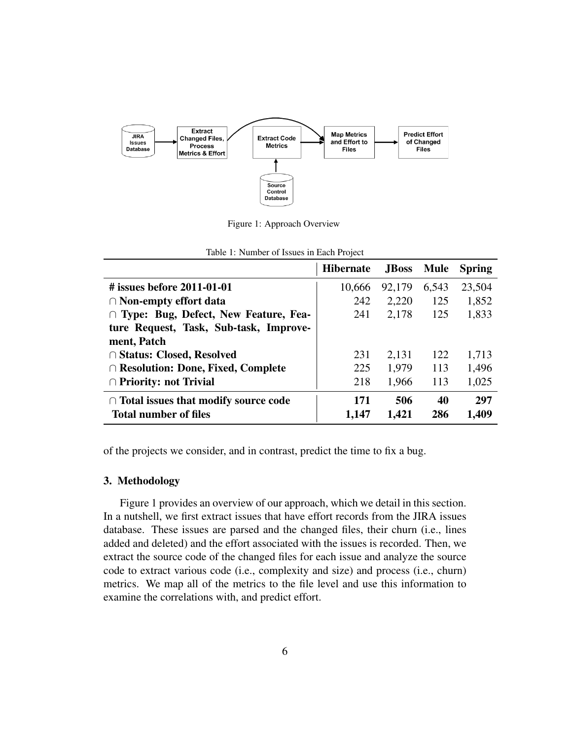

Figure 1: Approach Overview

|                                             | <b>Hibernate</b> | <b>JBoss</b> | Mule  | <b>Spring</b> |
|---------------------------------------------|------------------|--------------|-------|---------------|
| $\#$ issues before 2011-01-01               | 10,666           | 92,179       | 6,543 | 23,504        |
| $\cap$ Non-empty effort data                | 242              | 2,220        | 125   | 1,852         |
| $\cap$ Type: Bug, Defect, New Feature, Fea- | 241              | 2,178        | 125   | 1,833         |
| ture Request, Task, Sub-task, Improve-      |                  |              |       |               |
| ment, Patch                                 |                  |              |       |               |
| $\cap$ Status: Closed, Resolved             | 231              | 2,131        | 122   | 1,713         |
| ∩ Resolution: Done, Fixed, Complete         | 225              | 1,979        | 113   | 1,496         |
| $\cap$ Priority: not Trivial                | 218              | 1,966        | 113   | 1,025         |
| $\cap$ Total issues that modify source code | 171              | 506          | 40    | 297           |
| <b>Total number of files</b>                | 1.147            | 1,421        | 286   | 1,409         |

|  |  | Table 1: Number of Issues in Each Project |  |  |  |  |  |  |
|--|--|-------------------------------------------|--|--|--|--|--|--|
|--|--|-------------------------------------------|--|--|--|--|--|--|

of the projects we consider, and in contrast, predict the time to fix a bug.

#### 3. Methodology

Figure 1 provides an overview of our approach, which we detail in this section. In a nutshell, we first extract issues that have effort records from the JIRA issues database. These issues are parsed and the changed files, their churn (i.e., lines added and deleted) and the effort associated with the issues is recorded. Then, we extract the source code of the changed files for each issue and analyze the source code to extract various code (i.e., complexity and size) and process (i.e., churn) metrics. We map all of the metrics to the file level and use this information to examine the correlations with, and predict effort.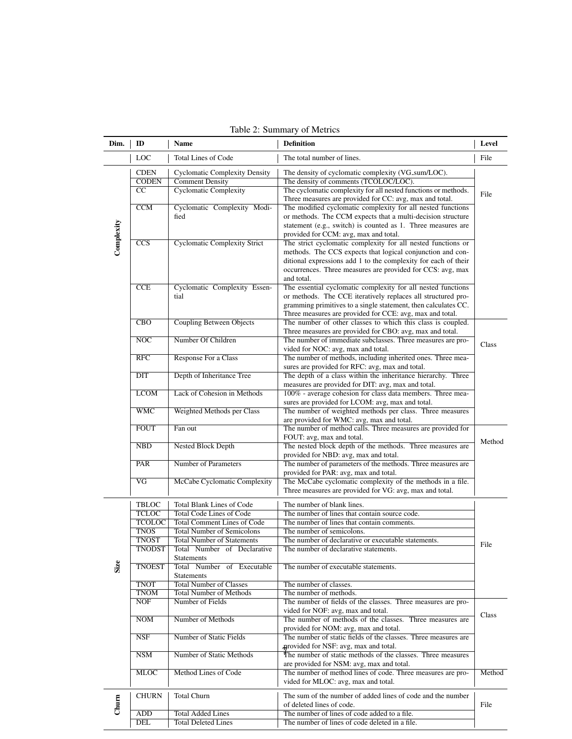| Dim.       | ID                         | Name                                                             | <b>Definition</b>                                                                                                            | Level  |
|------------|----------------------------|------------------------------------------------------------------|------------------------------------------------------------------------------------------------------------------------------|--------|
|            | LOC                        | <b>Total Lines of Code</b>                                       | The total number of lines.                                                                                                   | File   |
|            | <b>CDEN</b>                | <b>Cyclomatic Complexity Density</b>                             | The density of cyclomatic complexity (VG_sum/LOC).                                                                           |        |
|            | <b>CODEN</b>               | <b>Comment Density</b>                                           | The density of comments (TCOLOC/LOC).                                                                                        |        |
|            | $\overline{cc}$            | <b>Cyclomatic Complexity</b>                                     | The cyclomatic complexity for all nested functions or methods.                                                               | File   |
|            |                            |                                                                  | Three measures are provided for CC: avg, max and total.                                                                      |        |
|            | $\overline{CCM}$           | Cyclomatic Complexity Modi-                                      | The modified cyclomatic complexity for all nested functions                                                                  |        |
|            |                            | fied                                                             | or methods. The CCM expects that a multi-decision structure                                                                  |        |
|            |                            |                                                                  | statement (e.g., switch) is counted as 1. Three measures are                                                                 |        |
| Complexity |                            |                                                                  | provided for CCM: avg, max and total.                                                                                        |        |
|            | $\overline{ccs}$           | <b>Cyclomatic Complexity Strict</b>                              | The strict cyclomatic complexity for all nested functions or                                                                 |        |
|            |                            |                                                                  | methods. The CCS expects that logical conjunction and con-<br>ditional expressions add 1 to the complexity for each of their |        |
|            |                            |                                                                  | occurrences. Three measures are provided for CCS: avg, max                                                                   |        |
|            |                            |                                                                  | and total.                                                                                                                   |        |
|            | $\overline{CCE}$           | Cyclomatic Complexity Essen-                                     | The essential cyclomatic complexity for all nested functions                                                                 |        |
|            |                            | tial                                                             | or methods. The CCE iteratively replaces all structured pro-                                                                 |        |
|            |                            |                                                                  | gramming primitives to a single statement, then calculates CC.                                                               |        |
|            |                            |                                                                  | Three measures are provided for CCE: avg, max and total.                                                                     |        |
|            | $\overline{CBO}$           | <b>Coupling Between Objects</b>                                  | The number of other classes to which this class is coupled.                                                                  |        |
|            |                            |                                                                  | Three measures are provided for CBO: avg, max and total.                                                                     |        |
|            | NOC                        | Number Of Children                                               | The number of immediate subclasses. Three measures are pro-                                                                  | Class  |
|            |                            |                                                                  | vided for NOC: avg, max and total.                                                                                           |        |
|            | RFC                        | <b>Response For a Class</b>                                      | The number of methods, including inherited ones. Three mea-                                                                  |        |
|            | $\overline{DIT}$           | Depth of Inheritance Tree                                        | sures are provided for RFC: avg, max and total.<br>The depth of a class within the inheritance hierarchy. Three              |        |
|            |                            |                                                                  | measures are provided for DIT: avg, max and total.                                                                           |        |
|            | <b>LCOM</b>                | Lack of Cohesion in Methods                                      | 100% - average cohesion for class data members. Three mea-                                                                   |        |
|            |                            |                                                                  | sures are provided for LCOM: avg, max and total.                                                                             |        |
|            | <b>WMC</b>                 | Weighted Methods per Class                                       | The number of weighted methods per class. Three measures                                                                     |        |
|            |                            |                                                                  | are provided for WMC: avg, max and total.                                                                                    |        |
|            | <b>FOUT</b>                | Fan out                                                          | The number of method calls. Three measures are provided for                                                                  |        |
|            |                            |                                                                  | FOUT: avg, max and total.                                                                                                    | Method |
|            | $\overline{\text{NBD}}$    | <b>Nested Block Depth</b>                                        | The nested block depth of the methods. Three measures are                                                                    |        |
|            | <b>PAR</b>                 | <b>Number of Parameters</b>                                      | provided for NBD: avg, max and total.                                                                                        |        |
|            |                            |                                                                  | The number of parameters of the methods. Three measures are<br>provided for PAR: avg, max and total.                         |        |
|            | $\overline{VG}$            | McCabe Cyclomatic Complexity                                     | The McCabe cyclomatic complexity of the methods in a file.                                                                   |        |
|            |                            |                                                                  | Three measures are provided for VG: avg, max and total.                                                                      |        |
|            | <b>TBLOC</b>               | <b>Total Blank Lines of Code</b>                                 | The number of blank lines.                                                                                                   |        |
|            | <b>TCLOC</b>               | <b>Total Code Lines of Code</b>                                  | The number of lines that contain source code.                                                                                |        |
|            | <b>TCOLOC</b>              | <b>Total Comment Lines of Code</b>                               | The number of lines that contain comments.                                                                                   |        |
|            | <b>TNOS</b>                | <b>Total Number of Semicolons</b>                                | The number of semicolons.                                                                                                    |        |
|            | <b>TNOST</b>               | <b>Total Number of Statements</b>                                | The number of declarative or executable statements.                                                                          | File   |
|            | <b>TNODST</b>              | Total Number of Declarative                                      | The number of declarative statements.                                                                                        |        |
|            |                            | Statements                                                       |                                                                                                                              |        |
| Size       | <b>TNOEST</b>              | Total Number of Executable                                       | The number of executable statements.                                                                                         |        |
|            |                            | <b>Statements</b>                                                |                                                                                                                              |        |
|            | <b>TNOT</b><br><b>TNOM</b> | <b>Total Number of Classes</b><br><b>Total Number of Methods</b> | The number of classes.<br>The number of methods.                                                                             |        |
|            | NOF                        | Number of Fields                                                 | The number of fields of the classes. Three measures are pro-                                                                 |        |
|            |                            |                                                                  | vided for NOF: avg, max and total.                                                                                           |        |
|            | NOM                        | Number of Methods                                                | The number of methods of the classes. Three measures are                                                                     | Class  |
|            |                            |                                                                  | provided for NOM: avg, max and total.                                                                                        |        |
|            | <b>NSF</b>                 | Number of Static Fields                                          | The number of static fields of the classes. Three measures are                                                               |        |
|            |                            |                                                                  | provided for NSF: avg, max and total.                                                                                        |        |
|            | $\overline{\text{NSM}}$    | <b>Number of Static Methods</b>                                  | The number of static methods of the classes. Three measures                                                                  |        |
|            |                            |                                                                  | are provided for NSM: avg, max and total.                                                                                    |        |
|            | MLOC                       | Method Lines of Code                                             | The number of method lines of code. Three measures are pro-                                                                  | Method |
|            |                            |                                                                  | vided for MLOC: avg, max and total.                                                                                          |        |
|            | <b>CHURN</b>               | <b>Total Churn</b>                                               | The sum of the number of added lines of code and the number                                                                  |        |
| Churn      |                            |                                                                  | of deleted lines of code.                                                                                                    | File   |
|            | $\overline{ADD}$           | <b>Total Added Lines</b>                                         | The number of lines of code added to a file.                                                                                 |        |
|            | DEL                        | <b>Total Deleted Lines</b>                                       | The number of lines of code deleted in a file.                                                                               |        |

 $\overline{\phantom{a}}$ 

| Table 2: Summary of Metrics |  |
|-----------------------------|--|
|-----------------------------|--|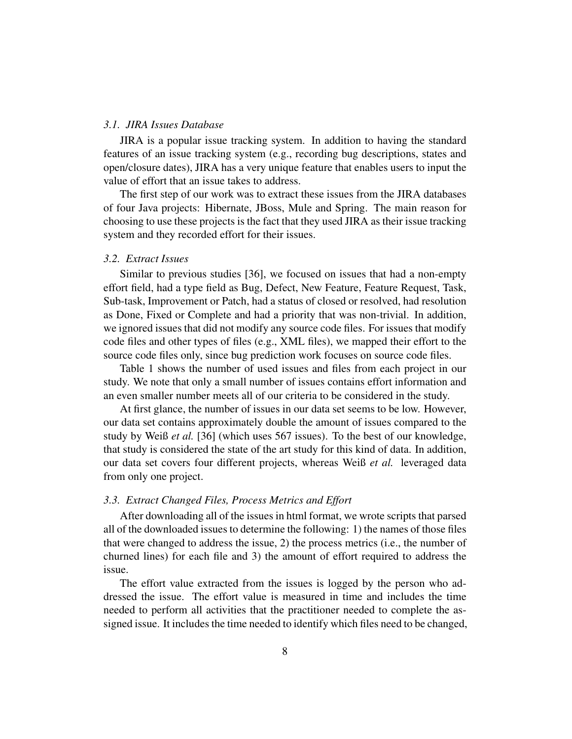### *3.1. JIRA Issues Database*

JIRA is a popular issue tracking system. In addition to having the standard features of an issue tracking system (e.g., recording bug descriptions, states and open/closure dates), JIRA has a very unique feature that enables users to input the value of effort that an issue takes to address.

The first step of our work was to extract these issues from the JIRA databases of four Java projects: Hibernate, JBoss, Mule and Spring. The main reason for choosing to use these projects is the fact that they used JIRA as their issue tracking system and they recorded effort for their issues.

# *3.2. Extract Issues*

Similar to previous studies [36], we focused on issues that had a non-empty effort field, had a type field as Bug, Defect, New Feature, Feature Request, Task, Sub-task, Improvement or Patch, had a status of closed or resolved, had resolution as Done, Fixed or Complete and had a priority that was non-trivial. In addition, we ignored issues that did not modify any source code files. For issues that modify code files and other types of files (e.g., XML files), we mapped their effort to the source code files only, since bug prediction work focuses on source code files.

Table 1 shows the number of used issues and files from each project in our study. We note that only a small number of issues contains effort information and an even smaller number meets all of our criteria to be considered in the study.

At first glance, the number of issues in our data set seems to be low. However, our data set contains approximately double the amount of issues compared to the study by Weiß *et al.* [36] (which uses 567 issues). To the best of our knowledge, that study is considered the state of the art study for this kind of data. In addition, our data set covers four different projects, whereas Weiß *et al.* leveraged data from only one project.

### *3.3. Extract Changed Files, Process Metrics and Effort*

After downloading all of the issues in html format, we wrote scripts that parsed all of the downloaded issues to determine the following: 1) the names of those files that were changed to address the issue, 2) the process metrics (i.e., the number of churned lines) for each file and 3) the amount of effort required to address the issue.

The effort value extracted from the issues is logged by the person who addressed the issue. The effort value is measured in time and includes the time needed to perform all activities that the practitioner needed to complete the assigned issue. It includes the time needed to identify which files need to be changed,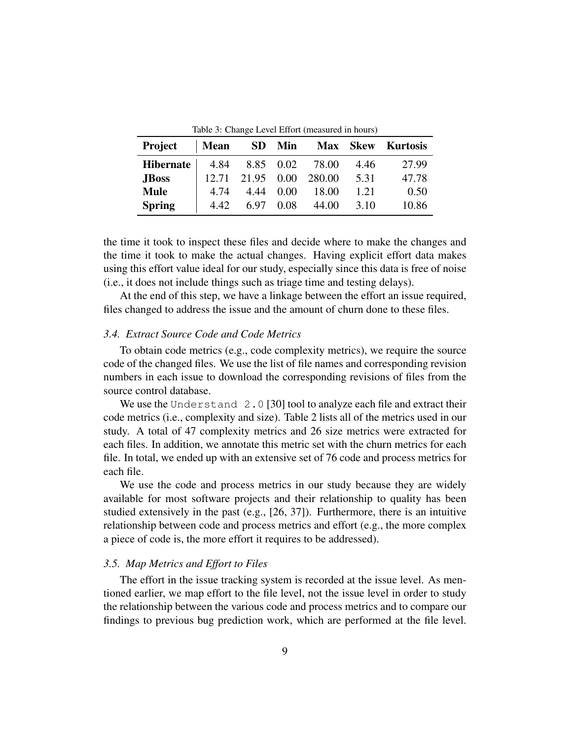Table 3: Change Level Effort (measured in hours)

| <b>Project</b>   | <b>Mean</b> | <b>SD</b> | Min  | <b>Max</b> | <b>Skew</b> | <b>Kurtosis</b> |
|------------------|-------------|-----------|------|------------|-------------|-----------------|
| <b>Hibernate</b> | 4.84        | 8.85      | 0.02 | 78.00      | 4.46        | 27.99           |
| <b>JBoss</b>     | 12.71       | 21.95     | 0.00 | 280.00     | 5.31        | 47.78           |
| <b>Mule</b>      | 4.74        | 4.44      | 0.00 | 18.00      | 1.21        | 0.50            |
| <b>Spring</b>    | 4.42        | 6.97      | 0.08 | 44.00      | 3.10        | 10.86           |

the time it took to inspect these files and decide where to make the changes and the time it took to make the actual changes. Having explicit effort data makes using this effort value ideal for our study, especially since this data is free of noise (i.e., it does not include things such as triage time and testing delays).

At the end of this step, we have a linkage between the effort an issue required, files changed to address the issue and the amount of churn done to these files.

# *3.4. Extract Source Code and Code Metrics*

To obtain code metrics (e.g., code complexity metrics), we require the source code of the changed files. We use the list of file names and corresponding revision numbers in each issue to download the corresponding revisions of files from the source control database.

We use the Understand 2.0 [30] tool to analyze each file and extract their code metrics (i.e., complexity and size). Table 2 lists all of the metrics used in our study. A total of 47 complexity metrics and 26 size metrics were extracted for each files. In addition, we annotate this metric set with the churn metrics for each file. In total, we ended up with an extensive set of 76 code and process metrics for each file.

We use the code and process metrics in our study because they are widely available for most software projects and their relationship to quality has been studied extensively in the past (e.g., [26, 37]). Furthermore, there is an intuitive relationship between code and process metrics and effort (e.g., the more complex a piece of code is, the more effort it requires to be addressed).

#### *3.5. Map Metrics and Effort to Files*

The effort in the issue tracking system is recorded at the issue level. As mentioned earlier, we map effort to the file level, not the issue level in order to study the relationship between the various code and process metrics and to compare our findings to previous bug prediction work, which are performed at the file level.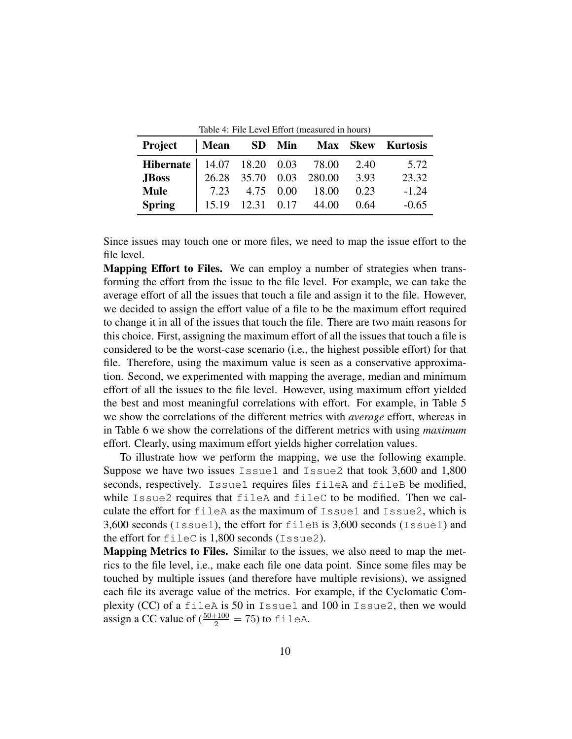| Table 4: File Level Effort (measured in hours) |  |
|------------------------------------------------|--|
|------------------------------------------------|--|

| Project                            | <b>Mean</b> |                  | SD Min |                         |      | Max Skew Kurtosis |
|------------------------------------|-------------|------------------|--------|-------------------------|------|-------------------|
| Hibernate   14.07 18.20 0.03 78.00 |             |                  |        |                         | 2.40 | 5.72              |
| <b>JBoss</b>                       |             |                  |        | 26.28 35.70 0.03 280.00 | 3.93 | 23.32             |
| <b>Mule</b>                        | 7.23        | 4.75 0.00        |        | 18.00                   | 0.23 | $-1.24$           |
| <b>Spring</b>                      |             | 15.19 12.31 0.17 |        | 44.00                   | 0.64 | $-0.65$           |

Since issues may touch one or more files, we need to map the issue effort to the file level.

Mapping Effort to Files. We can employ a number of strategies when transforming the effort from the issue to the file level. For example, we can take the average effort of all the issues that touch a file and assign it to the file. However, we decided to assign the effort value of a file to be the maximum effort required to change it in all of the issues that touch the file. There are two main reasons for this choice. First, assigning the maximum effort of all the issues that touch a file is considered to be the worst-case scenario (i.e., the highest possible effort) for that file. Therefore, using the maximum value is seen as a conservative approximation. Second, we experimented with mapping the average, median and minimum effort of all the issues to the file level. However, using maximum effort yielded the best and most meaningful correlations with effort. For example, in Table 5 we show the correlations of the different metrics with *average* effort, whereas in in Table 6 we show the correlations of the different metrics with using *maximum* effort. Clearly, using maximum effort yields higher correlation values.

To illustrate how we perform the mapping, we use the following example. Suppose we have two issues  $I$ ssue1 and  $I$ ssue2 that took 3,600 and 1,800 seconds, respectively. Issue1 requires files fileA and fileB be modified, while Issue2 requires that fileA and fileC to be modified. Then we calculate the effort for  $fileA$  as the maximum of  $Isue1$  and  $Isue2$ , which is 3,600 seconds (Issue1), the effort for fileB is 3,600 seconds (Issue1) and the effort for fileC is 1,800 seconds (Issue2).

Mapping Metrics to Files. Similar to the issues, we also need to map the metrics to the file level, i.e., make each file one data point. Since some files may be touched by multiple issues (and therefore have multiple revisions), we assigned each file its average value of the metrics. For example, if the Cyclomatic Complexity (CC) of a fileA is 50 in Issue1 and  $100$  in Issue2, then we would assign a CC value of  $(\frac{50+100}{2} = 75)$  to fileA.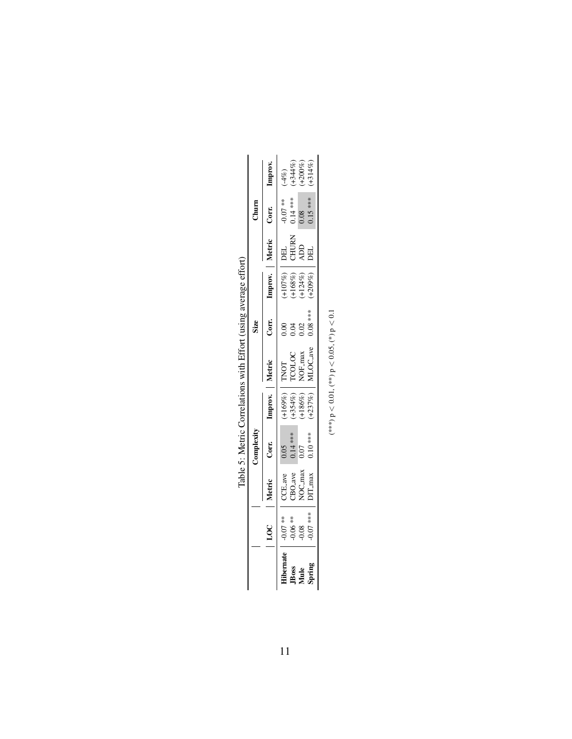| Corr.<br>00 <sub>1</sub><br>02<br>NOF_max<br>MLOC_ave<br><b>rcoloc</b><br>Metric<br>TNOT<br>$(+169\%)$<br>(+354%)<br>Improv.<br>$(+186%)$<br>$0.14***$<br>Corr.<br>0.05<br>0.07<br><b>JOC_nax</b><br>$DBO_$ ave<br>CCE <sub>ave</sub><br>Metric<br>$-0.07$ ** $\frac{1}{2}$<br>$0.06**$<br>LOC<br>0.08<br>Hibernate<br>JBoss<br>Mule<br>Spring |           |         | Complexity |         | Size      |                                     |              | Churn      |                             |
|------------------------------------------------------------------------------------------------------------------------------------------------------------------------------------------------------------------------------------------------------------------------------------------------------------------------------------------------|-----------|---------|------------|---------|-----------|-------------------------------------|--------------|------------|-----------------------------|
|                                                                                                                                                                                                                                                                                                                                                |           |         |            |         |           | Improv.                             | Metric       | Corr.      | Improv.                     |
|                                                                                                                                                                                                                                                                                                                                                |           |         |            |         |           |                                     |              | $-0.07$ ** |                             |
|                                                                                                                                                                                                                                                                                                                                                |           |         |            |         |           | $(+107%)$<br>$(+168%)$<br>$(+168%)$ | DEL<br>CHURN | $0.14***$  | (-4%)<br>(+344%)<br>(+344%) |
|                                                                                                                                                                                                                                                                                                                                                |           |         |            |         |           |                                     | <b>UCY</b>   |            |                             |
|                                                                                                                                                                                                                                                                                                                                                | $0.07***$ | DIT_max | $0.10***$  | $+237%$ | $0.08***$ | $+209%$                             | DEL          | $0.15***$  | $+314%$                     |

(\*\*\*) p < 0.01, (\*\*) p < 0.05, (\*) p < 0.1

 $^{(***)}$  p  $<$  0.01,  $^{(**)}$  p  $<$  0.05,  $^{(*)}$  p  $<$  0.1

Table 5: Metric Correlations with Effort (using average effort) Table 5: Metric Correlations with Effort (using average effort)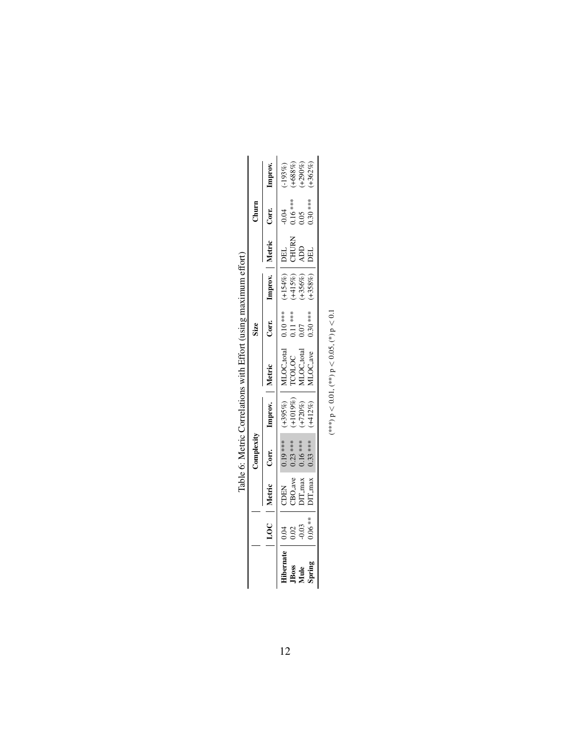|             |          |                      | Complexity |                        |                        | Size         |                          |              | Churn     |           |
|-------------|----------|----------------------|------------|------------------------|------------------------|--------------|--------------------------|--------------|-----------|-----------|
|             | LOC      | Metric               | Corr.      | Improv.                | Metric                 | Сorr.        | Improv.                  | Metric       | Сorr.     | mprov.    |
| Hibernate   | 0.04     | <b>CDEN</b>          | $0.19***$  | $(95\%)^{-1}$          | MLOC_total             | $0.10^{***}$ |                          | THO.         | 0.04      | $-193%$   |
| <b>Boss</b> |          | $280$ <sub>ave</sub> | $0.23$ *** | $+1019%$               | <b>TCOLOC</b>          | $0.11***$    | $(+154\%)$<br>$(+415\%)$ | <b>CHURN</b> | $0.16***$ | $+688%$   |
| Mule        | $-0.03$  | DIT_max              | $0.16***$  |                        | ALOC <sub>-total</sub> |              | $+356%$                  | <b>ADD</b>   | 0.05      | $(+290%)$ |
| Spring      | $0.06**$ | DIT_max              | $0.33***$  | $(+720%)$<br>$(+120%)$ | MLOC <sub>ave</sub>    | $0.30***$    | $+358%$                  | DEL          | $0.30***$ | $(+362%)$ |

(\*\*\*) p < 0.01, (\*\*) p < 0.05, (\*) p < 0.1

 $\left( ^{***}\right) p<0.01,\left( ^{***}\right) p<0.05,\left( ^{*}\right) p<0.1$ 

Table 6: Metric Correlations with Effort (using maximum effort) Table 6: Metric Correlations with Effort (using maximum effort)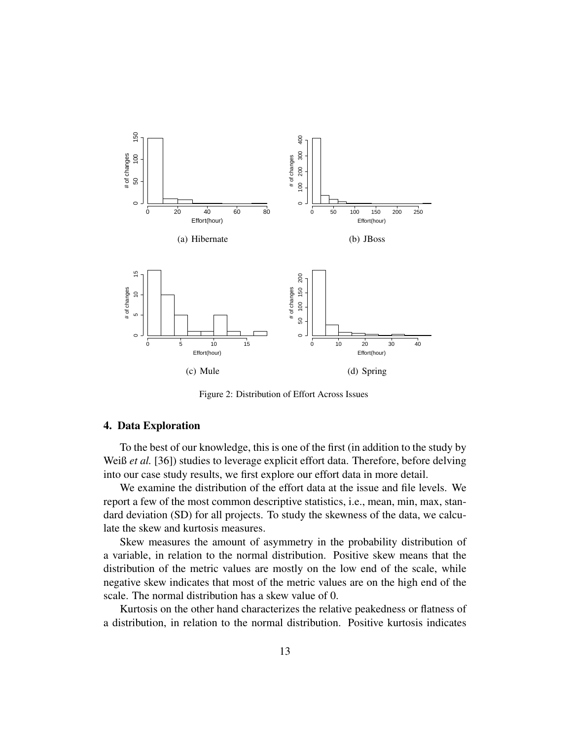

Figure 2: Distribution of Effort Across Issues

# 4. Data Exploration

To the best of our knowledge, this is one of the first (in addition to the study by Weiß *et al.* [36]) studies to leverage explicit effort data. Therefore, before delving into our case study results, we first explore our effort data in more detail.

We examine the distribution of the effort data at the issue and file levels. We report a few of the most common descriptive statistics, i.e., mean, min, max, standard deviation (SD) for all projects. To study the skewness of the data, we calculate the skew and kurtosis measures.

Skew measures the amount of asymmetry in the probability distribution of a variable, in relation to the normal distribution. Positive skew means that the distribution of the metric values are mostly on the low end of the scale, while negative skew indicates that most of the metric values are on the high end of the scale. The normal distribution has a skew value of 0.

Kurtosis on the other hand characterizes the relative peakedness or flatness of a distribution, in relation to the normal distribution. Positive kurtosis indicates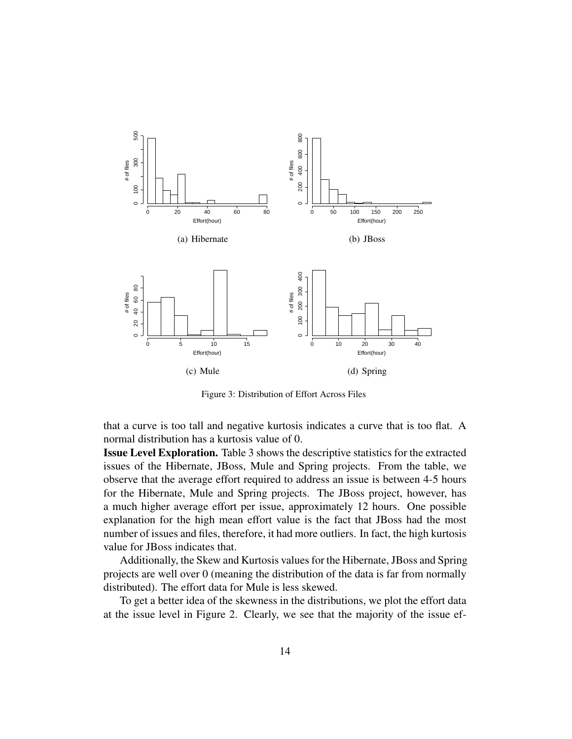

Figure 3: Distribution of Effort Across Files

that a curve is too tall and negative kurtosis indicates a curve that is too flat. A normal distribution has a kurtosis value of 0.

Issue Level Exploration. Table 3 shows the descriptive statistics for the extracted issues of the Hibernate, JBoss, Mule and Spring projects. From the table, we observe that the average effort required to address an issue is between 4-5 hours for the Hibernate, Mule and Spring projects. The JBoss project, however, has a much higher average effort per issue, approximately 12 hours. One possible explanation for the high mean effort value is the fact that JBoss had the most number of issues and files, therefore, it had more outliers. In fact, the high kurtosis value for JBoss indicates that.

Additionally, the Skew and Kurtosis values for the Hibernate, JBoss and Spring projects are well over 0 (meaning the distribution of the data is far from normally distributed). The effort data for Mule is less skewed.

To get a better idea of the skewness in the distributions, we plot the effort data at the issue level in Figure 2. Clearly, we see that the majority of the issue ef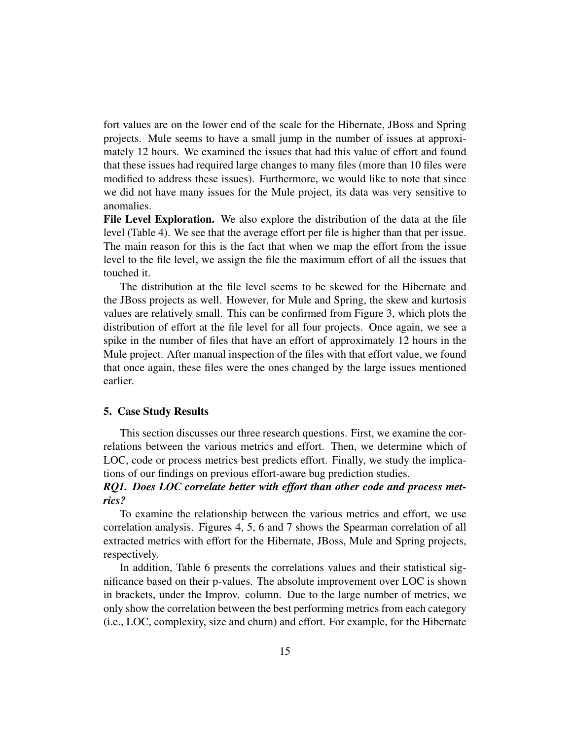fort values are on the lower end of the scale for the Hibernate, JBoss and Spring projects. Mule seems to have a small jump in the number of issues at approximately 12 hours. We examined the issues that had this value of effort and found that these issues had required large changes to many files (more than 10 files were modified to address these issues). Furthermore, we would like to note that since we did not have many issues for the Mule project, its data was very sensitive to anomalies.

File Level Exploration. We also explore the distribution of the data at the file level (Table 4). We see that the average effort per file is higher than that per issue. The main reason for this is the fact that when we map the effort from the issue level to the file level, we assign the file the maximum effort of all the issues that touched it.

The distribution at the file level seems to be skewed for the Hibernate and the JBoss projects as well. However, for Mule and Spring, the skew and kurtosis values are relatively small. This can be confirmed from Figure 3, which plots the distribution of effort at the file level for all four projects. Once again, we see a spike in the number of files that have an effort of approximately 12 hours in the Mule project. After manual inspection of the files with that effort value, we found that once again, these files were the ones changed by the large issues mentioned earlier.

#### 5. Case Study Results

This section discusses our three research questions. First, we examine the correlations between the various metrics and effort. Then, we determine which of LOC, code or process metrics best predicts effort. Finally, we study the implications of our findings on previous effort-aware bug prediction studies.

# *RQ1. Does LOC correlate better with effort than other code and process metrics?*

To examine the relationship between the various metrics and effort, we use correlation analysis. Figures 4, 5, 6 and 7 shows the Spearman correlation of all extracted metrics with effort for the Hibernate, JBoss, Mule and Spring projects, respectively.

In addition, Table 6 presents the correlations values and their statistical significance based on their p-values. The absolute improvement over LOC is shown in brackets, under the Improv. column. Due to the large number of metrics, we only show the correlation between the best performing metrics from each category (i.e., LOC, complexity, size and churn) and effort. For example, for the Hibernate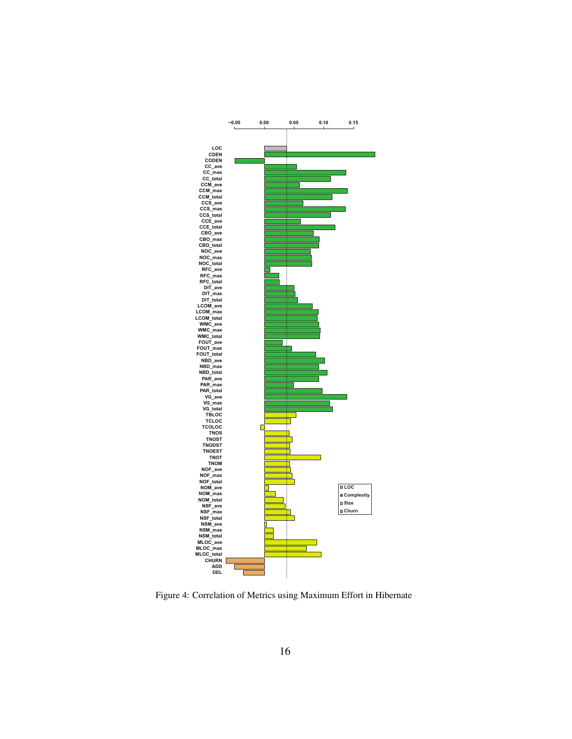

Figure 4: Correlation of Metrics using Maximum Effort in Hibernate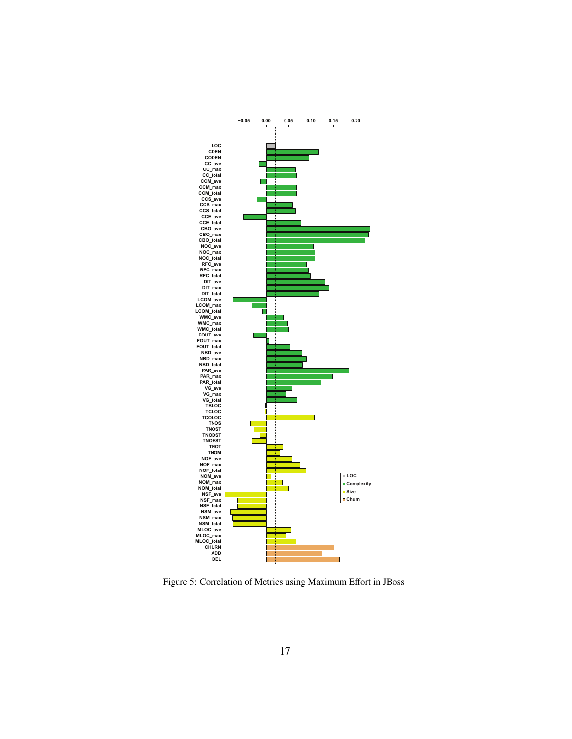

Figure 5: Correlation of Metrics using Maximum Effort in JBoss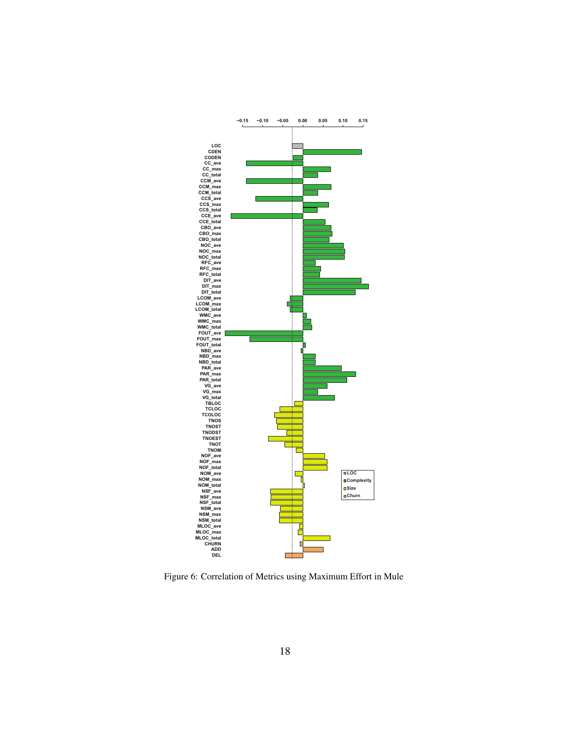

Figure 6: Correlation of Metrics using Maximum Effort in Mule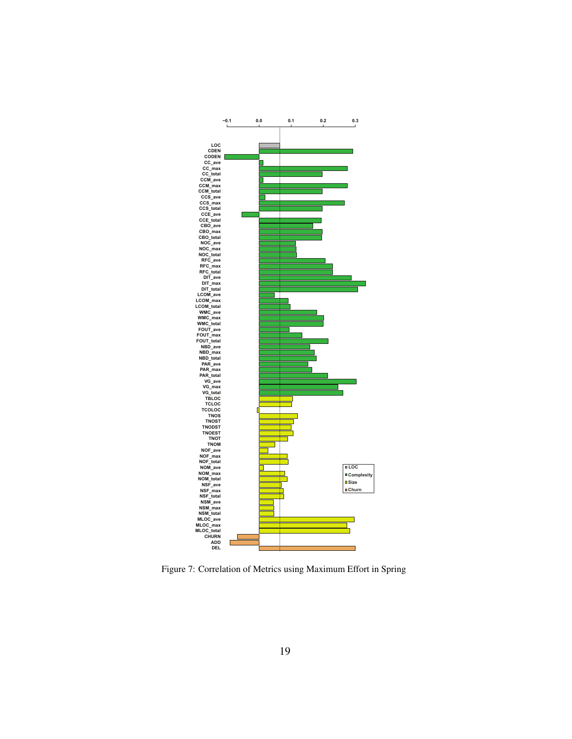

Figure 7: Correlation of Metrics using Maximum Effort in Spring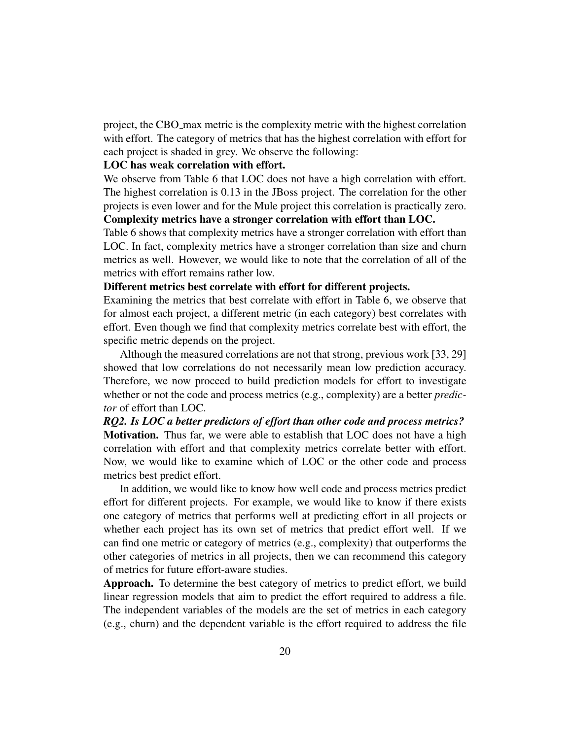project, the CBO max metric is the complexity metric with the highest correlation with effort. The category of metrics that has the highest correlation with effort for each project is shaded in grey. We observe the following:

# LOC has weak correlation with effort.

We observe from Table 6 that LOC does not have a high correlation with effort. The highest correlation is 0.13 in the JBoss project. The correlation for the other projects is even lower and for the Mule project this correlation is practically zero. Complexity metrics have a stronger correlation with effort than LOC.

Table 6 shows that complexity metrics have a stronger correlation with effort than LOC. In fact, complexity metrics have a stronger correlation than size and churn metrics as well. However, we would like to note that the correlation of all of the metrics with effort remains rather low.

# Different metrics best correlate with effort for different projects.

Examining the metrics that best correlate with effort in Table 6, we observe that for almost each project, a different metric (in each category) best correlates with effort. Even though we find that complexity metrics correlate best with effort, the specific metric depends on the project.

Although the measured correlations are not that strong, previous work [33, 29] showed that low correlations do not necessarily mean low prediction accuracy. Therefore, we now proceed to build prediction models for effort to investigate whether or not the code and process metrics (e.g., complexity) are a better *predictor* of effort than LOC.

*RQ2. Is LOC a better predictors of effort than other code and process metrics?* **Motivation.** Thus far, we were able to establish that LOC does not have a high correlation with effort and that complexity metrics correlate better with effort. Now, we would like to examine which of LOC or the other code and process metrics best predict effort.

In addition, we would like to know how well code and process metrics predict effort for different projects. For example, we would like to know if there exists one category of metrics that performs well at predicting effort in all projects or whether each project has its own set of metrics that predict effort well. If we can find one metric or category of metrics (e.g., complexity) that outperforms the other categories of metrics in all projects, then we can recommend this category of metrics for future effort-aware studies.

Approach. To determine the best category of metrics to predict effort, we build linear regression models that aim to predict the effort required to address a file. The independent variables of the models are the set of metrics in each category (e.g., churn) and the dependent variable is the effort required to address the file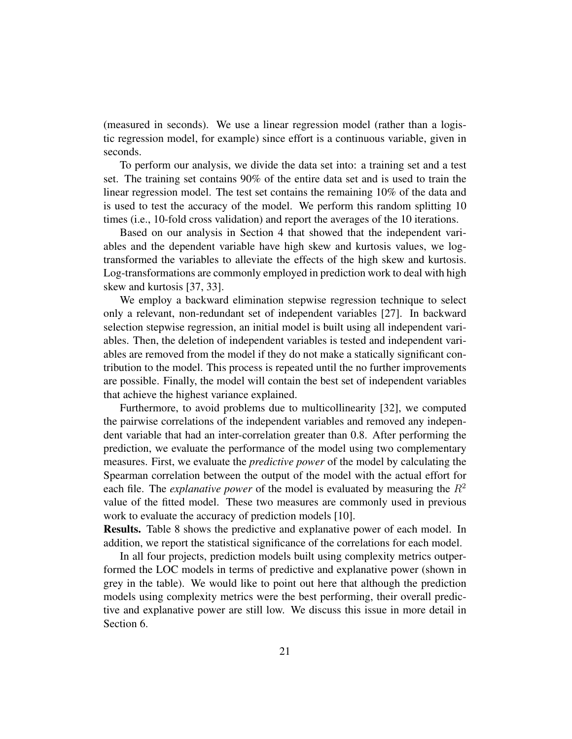(measured in seconds). We use a linear regression model (rather than a logistic regression model, for example) since effort is a continuous variable, given in seconds.

To perform our analysis, we divide the data set into: a training set and a test set. The training set contains 90% of the entire data set and is used to train the linear regression model. The test set contains the remaining 10% of the data and is used to test the accuracy of the model. We perform this random splitting 10 times (i.e., 10-fold cross validation) and report the averages of the 10 iterations.

Based on our analysis in Section 4 that showed that the independent variables and the dependent variable have high skew and kurtosis values, we logtransformed the variables to alleviate the effects of the high skew and kurtosis. Log-transformations are commonly employed in prediction work to deal with high skew and kurtosis [37, 33].

We employ a backward elimination stepwise regression technique to select only a relevant, non-redundant set of independent variables [27]. In backward selection stepwise regression, an initial model is built using all independent variables. Then, the deletion of independent variables is tested and independent variables are removed from the model if they do not make a statically significant contribution to the model. This process is repeated until the no further improvements are possible. Finally, the model will contain the best set of independent variables that achieve the highest variance explained.

Furthermore, to avoid problems due to multicollinearity [32], we computed the pairwise correlations of the independent variables and removed any independent variable that had an inter-correlation greater than 0.8. After performing the prediction, we evaluate the performance of the model using two complementary measures. First, we evaluate the *predictive power* of the model by calculating the Spearman correlation between the output of the model with the actual effort for each file. The *explanative power* of the model is evaluated by measuring the  $R^2$ value of the fitted model. These two measures are commonly used in previous work to evaluate the accuracy of prediction models [10].

Results. Table 8 shows the predictive and explanative power of each model. In addition, we report the statistical significance of the correlations for each model.

In all four projects, prediction models built using complexity metrics outperformed the LOC models in terms of predictive and explanative power (shown in grey in the table). We would like to point out here that although the prediction models using complexity metrics were the best performing, their overall predictive and explanative power are still low. We discuss this issue in more detail in Section 6.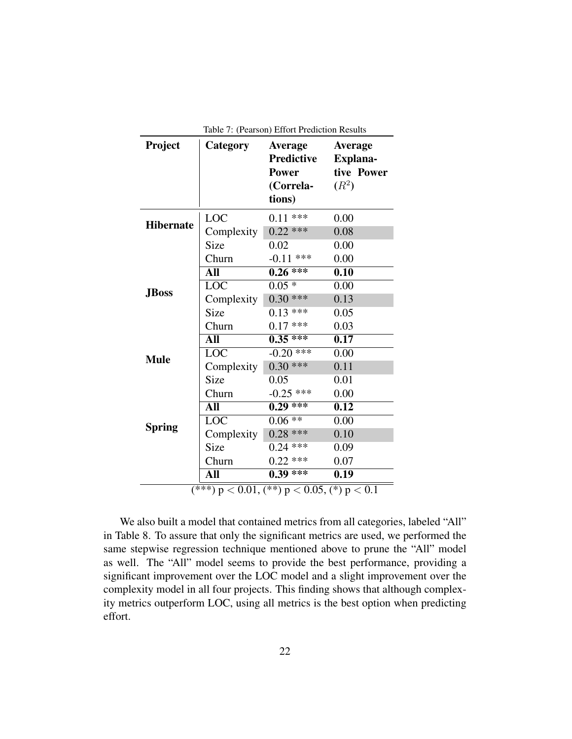|                  |                                                                     | Table 7: (Pearson) Effort Prediction Results        |                                          |
|------------------|---------------------------------------------------------------------|-----------------------------------------------------|------------------------------------------|
| <b>Project</b>   | Category                                                            | <b>Average</b><br><b>Predictive</b><br><b>Power</b> | <b>Average</b><br>Explana-<br>tive Power |
|                  |                                                                     | (Correla-<br>tions)                                 | $(R^2)$                                  |
| <b>Hibernate</b> | LOC                                                                 | ***<br>0.11                                         | 0.00                                     |
|                  | Complexity                                                          | $0.22$ ***                                          | 0.08                                     |
|                  | <b>Size</b>                                                         | 0.02                                                | 0.00                                     |
|                  | Churn                                                               | $-0.11$ ***                                         | 0.00                                     |
|                  | All                                                                 | $0.26***$                                           | 0.10                                     |
| <b>JBoss</b>     | LOC                                                                 | $0.05*$                                             | 0.00                                     |
|                  | Complexity                                                          | $0.30$ ***                                          | 0.13                                     |
|                  | <b>Size</b>                                                         | $0.13***$                                           | 0.05                                     |
|                  | Churn                                                               | $0.17***$                                           | 0.03                                     |
|                  | All                                                                 | $0.35***$                                           | 0.17                                     |
| <b>Mule</b>      | LOC                                                                 | $-0.20$ ***                                         | 0.00                                     |
|                  | Complexity                                                          | $0.30$ ***                                          | 0.11                                     |
|                  | <b>Size</b>                                                         | 0.05                                                | 0.01                                     |
|                  | Churn                                                               | $-0.25$ ***                                         | 0.00                                     |
|                  | All                                                                 | $0.29$ <sup>***</sup>                               | 0.12                                     |
| <b>Spring</b>    | LOC                                                                 | $0.06**$                                            | 0.00                                     |
|                  | Complexity                                                          | $0.28$ ***                                          | 0.10                                     |
|                  | Size                                                                | $0.24$ ***                                          | 0.09                                     |
|                  | Churn                                                               | $0.22$ ***                                          | 0.07                                     |
|                  | All                                                                 | $\overline{0.39***}$                                | 0.19                                     |
|                  | $(\overline{(***) p} < 0.01, (\overline{**}) p < 0.05, (*) p < 0.1$ |                                                     |                                          |

We also built a model that contained metrics from all categories, labeled "All" in Table 8. To assure that only the significant metrics are used, we performed the same stepwise regression technique mentioned above to prune the "All" model as well. The "All" model seems to provide the best performance, providing a significant improvement over the LOC model and a slight improvement over the complexity model in all four projects. This finding shows that although complexity metrics outperform LOC, using all metrics is the best option when predicting effort.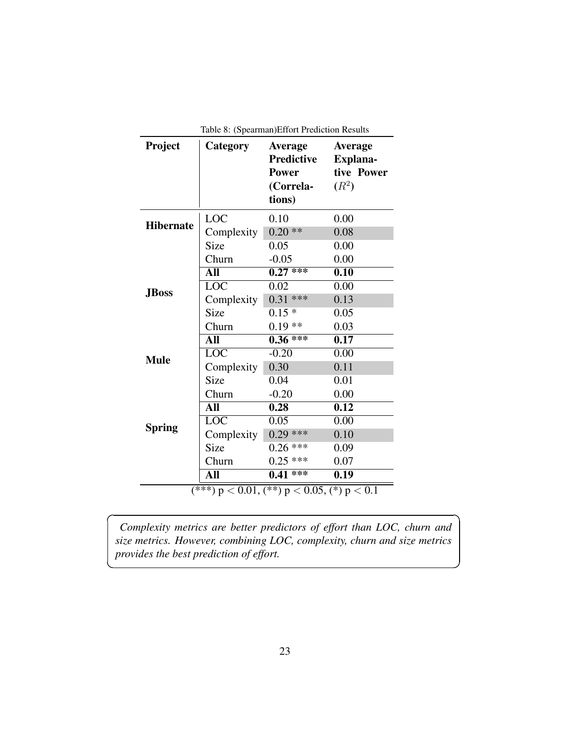| Project          | Category                | <b>Average</b>       | <b>Average</b>    |
|------------------|-------------------------|----------------------|-------------------|
|                  |                         | <b>Predictive</b>    | Explana-          |
|                  |                         | <b>Power</b>         | tive Power        |
|                  |                         | (Correla-            | $(R^2)$           |
|                  |                         | tions)               |                   |
| <b>Hibernate</b> | LOC                     | 0.10                 | 0.00              |
|                  | Complexity              | $0.20**$             | 0.08              |
|                  | Size                    | 0.05                 | 0.00              |
|                  | Churn                   | $-0.05$              | 0.00              |
|                  | All                     | $0.27$ ***           | 0.10              |
|                  | $\overline{LOC}$        | 0.02                 | 0.00              |
| <b>JBoss</b>     | Complexity              | 0.31<br>***          | 0.13              |
|                  | Size                    | $0.15*$              | 0.05              |
|                  | Churn                   | $0.19**$             | 0.03              |
|                  | $\overline{\bf All}$    | $0.36***$            | $\overline{0.17}$ |
| <b>Mule</b>      | LOC                     | $-0.20$              | 0.00              |
|                  | Complexity              | 0.30                 | 0.11              |
|                  | Size                    | 0.04                 | 0.01              |
|                  | Churn                   | $-0.20$              | 0.00              |
|                  | All                     | 0.28                 | 0.12              |
|                  | $\overline{\text{LOC}}$ | 0.05                 | 0.00              |
| <b>Spring</b>    | Complexity              | $0.29$ ***           | 0.10              |
|                  | Size                    | $0.26$ ***           | 0.09              |
|                  | Churn                   | $0.25$ ***           | 0.07              |
|                  | <b>All</b>              | $\overline{0.41***}$ | $\overline{0.19}$ |

*Complexity metrics are better predictors of effort than LOC, churn and size metrics. However, combining LOC, complexity, churn and size metrics provides the best prediction of effort.*

✟

✠

☛

 $\overline{\phantom{0}}$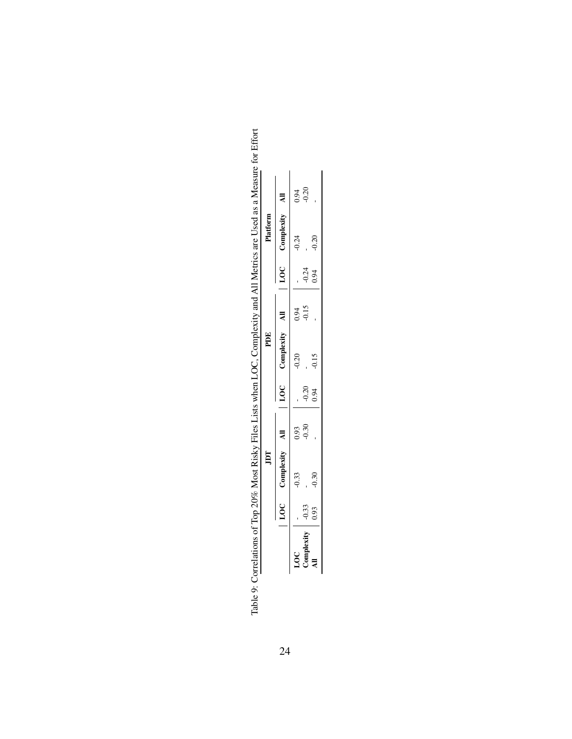|          |         | JЫ      |      |      | E          |         |         | <b>Matform</b> |              |
|----------|---------|---------|------|------|------------|---------|---------|----------------|--------------|
|          | ğ       | omplex  |      | Š    | complexity |         | S<br>S  | omplexity      |              |
|          |         | .<br>33 | 0.93 |      | 0.20       | 0.94    |         | $-0.24$        |              |
| omplexit | $-0.33$ |         | 0.30 | 0.20 |            | $-0.15$ | $-0.24$ |                | 0.30<br>0.20 |
|          | 0.93    | $-0.30$ |      | 94   | $-0.1$     |         | 0.94    | $-0.20$        |              |

Table 9: Correlations of Top 20% Most Risky Files Lists when LOC, Complexity and All Metrics are Used as a Measure for Effort Table 9: Correlations of Top 20% Most Risky Files Lists when LOC, Complexity and All Metrics are Used as a Measure for Effort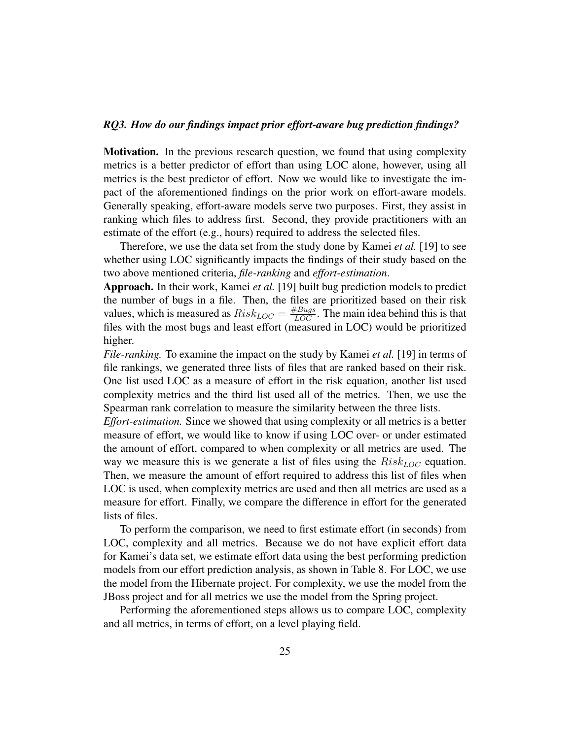#### *RQ3. How do our findings impact prior effort-aware bug prediction findings?*

**Motivation.** In the previous research question, we found that using complexity metrics is a better predictor of effort than using LOC alone, however, using all metrics is the best predictor of effort. Now we would like to investigate the impact of the aforementioned findings on the prior work on effort-aware models. Generally speaking, effort-aware models serve two purposes. First, they assist in ranking which files to address first. Second, they provide practitioners with an estimate of the effort (e.g., hours) required to address the selected files.

Therefore, we use the data set from the study done by Kamei *et al.* [19] to see whether using LOC significantly impacts the findings of their study based on the two above mentioned criteria, *file-ranking* and *effort-estimation*.

Approach. In their work, Kamei *et al.* [19] built bug prediction models to predict the number of bugs in a file. Then, the files are prioritized based on their risk values, which is measured as  $Risk_{LOC} = \frac{\#Bays}{LOC}$ . The main idea behind this is that files with the most bugs and least effort (measured in LOC) would be prioritized higher.

*File-ranking.* To examine the impact on the study by Kamei *et al.* [19] in terms of file rankings, we generated three lists of files that are ranked based on their risk. One list used LOC as a measure of effort in the risk equation, another list used complexity metrics and the third list used all of the metrics. Then, we use the Spearman rank correlation to measure the similarity between the three lists.

*Effort-estimation.* Since we showed that using complexity or all metrics is a better measure of effort, we would like to know if using LOC over- or under estimated the amount of effort, compared to when complexity or all metrics are used. The way we measure this is we generate a list of files using the  $Risk_{LOC}$  equation. Then, we measure the amount of effort required to address this list of files when LOC is used, when complexity metrics are used and then all metrics are used as a measure for effort. Finally, we compare the difference in effort for the generated lists of files.

To perform the comparison, we need to first estimate effort (in seconds) from LOC, complexity and all metrics. Because we do not have explicit effort data for Kamei's data set, we estimate effort data using the best performing prediction models from our effort prediction analysis, as shown in Table 8. For LOC, we use the model from the Hibernate project. For complexity, we use the model from the JBoss project and for all metrics we use the model from the Spring project.

Performing the aforementioned steps allows us to compare LOC, complexity and all metrics, in terms of effort, on a level playing field.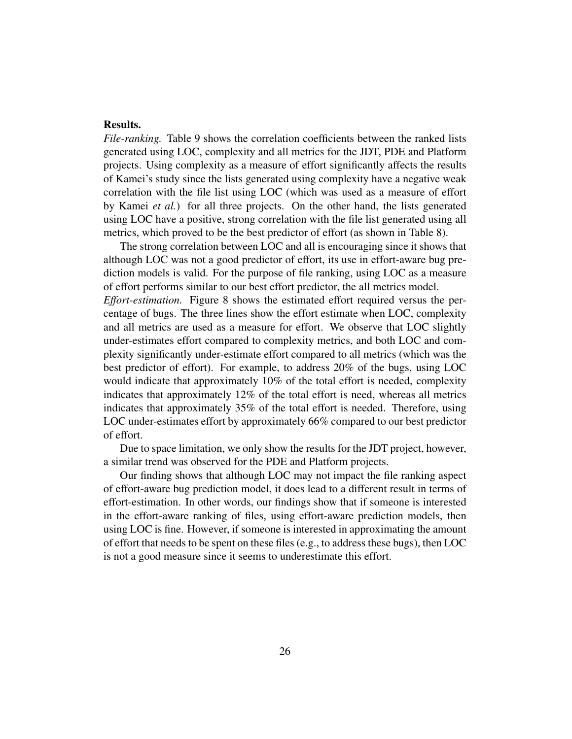# Results.

*File-ranking.* Table 9 shows the correlation coefficients between the ranked lists generated using LOC, complexity and all metrics for the JDT, PDE and Platform projects. Using complexity as a measure of effort significantly affects the results of Kamei's study since the lists generated using complexity have a negative weak correlation with the file list using LOC (which was used as a measure of effort by Kamei *et al.*) for all three projects. On the other hand, the lists generated using LOC have a positive, strong correlation with the file list generated using all metrics, which proved to be the best predictor of effort (as shown in Table 8).

The strong correlation between LOC and all is encouraging since it shows that although LOC was not a good predictor of effort, its use in effort-aware bug prediction models is valid. For the purpose of file ranking, using LOC as a measure of effort performs similar to our best effort predictor, the all metrics model.

*Effort-estimation.* Figure 8 shows the estimated effort required versus the percentage of bugs. The three lines show the effort estimate when LOC, complexity and all metrics are used as a measure for effort. We observe that LOC slightly under-estimates effort compared to complexity metrics, and both LOC and complexity significantly under-estimate effort compared to all metrics (which was the best predictor of effort). For example, to address 20% of the bugs, using LOC would indicate that approximately 10% of the total effort is needed, complexity indicates that approximately 12% of the total effort is need, whereas all metrics indicates that approximately 35% of the total effort is needed. Therefore, using LOC under-estimates effort by approximately 66% compared to our best predictor of effort.

Due to space limitation, we only show the results for the JDT project, however, a similar trend was observed for the PDE and Platform projects.

Our finding shows that although LOC may not impact the file ranking aspect of effort-aware bug prediction model, it does lead to a different result in terms of effort-estimation. In other words, our findings show that if someone is interested in the effort-aware ranking of files, using effort-aware prediction models, then using LOC is fine. However, if someone is interested in approximating the amount of effort that needs to be spent on these files (e.g., to address these bugs), then LOC is not a good measure since it seems to underestimate this effort.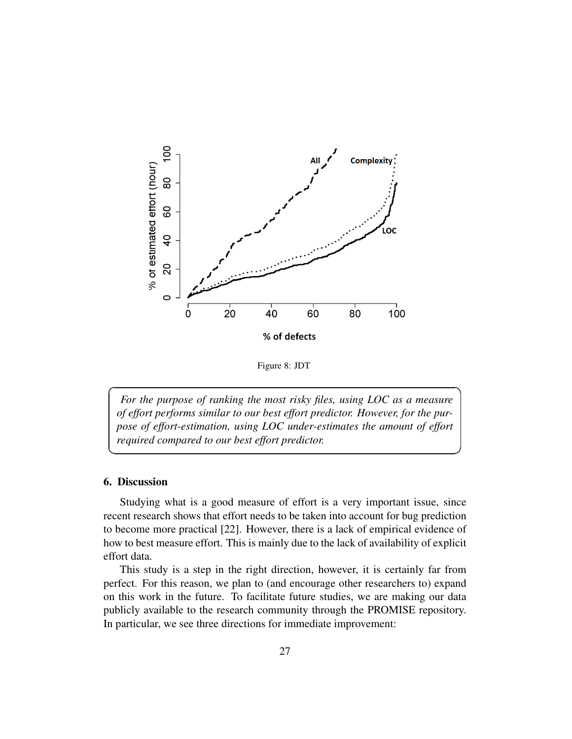

Figure 8: JDT

✟

✠

*For the purpose of ranking the most risky files, using LOC as a measure of effort performs similar to our best effort predictor. However, for the purpose of effort-estimation, using LOC under-estimates the amount of effort required compared to our best effort predictor.*

# 6. Discussion

☛

 $\searrow$ 

Studying what is a good measure of effort is a very important issue, since recent research shows that effort needs to be taken into account for bug prediction to become more practical [22]. However, there is a lack of empirical evidence of how to best measure effort. This is mainly due to the lack of availability of explicit effort data.

This study is a step in the right direction, however, it is certainly far from perfect. For this reason, we plan to (and encourage other researchers to) expand on this work in the future. To facilitate future studies, we are making our data publicly available to the research community through the PROMISE repository. In particular, we see three directions for immediate improvement: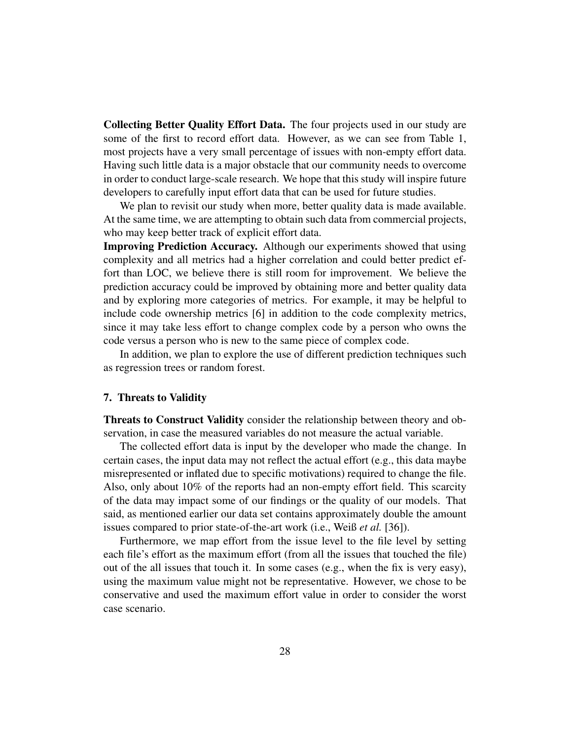Collecting Better Quality Effort Data. The four projects used in our study are some of the first to record effort data. However, as we can see from Table 1, most projects have a very small percentage of issues with non-empty effort data. Having such little data is a major obstacle that our community needs to overcome in order to conduct large-scale research. We hope that this study will inspire future developers to carefully input effort data that can be used for future studies.

We plan to revisit our study when more, better quality data is made available. At the same time, we are attempting to obtain such data from commercial projects, who may keep better track of explicit effort data.

Improving Prediction Accuracy. Although our experiments showed that using complexity and all metrics had a higher correlation and could better predict effort than LOC, we believe there is still room for improvement. We believe the prediction accuracy could be improved by obtaining more and better quality data and by exploring more categories of metrics. For example, it may be helpful to include code ownership metrics [6] in addition to the code complexity metrics, since it may take less effort to change complex code by a person who owns the code versus a person who is new to the same piece of complex code.

In addition, we plan to explore the use of different prediction techniques such as regression trees or random forest.

#### 7. Threats to Validity

Threats to Construct Validity consider the relationship between theory and observation, in case the measured variables do not measure the actual variable.

The collected effort data is input by the developer who made the change. In certain cases, the input data may not reflect the actual effort (e.g., this data maybe misrepresented or inflated due to specific motivations) required to change the file. Also, only about 10% of the reports had an non-empty effort field. This scarcity of the data may impact some of our findings or the quality of our models. That said, as mentioned earlier our data set contains approximately double the amount issues compared to prior state-of-the-art work (i.e., Weiß *et al.* [36]).

Furthermore, we map effort from the issue level to the file level by setting each file's effort as the maximum effort (from all the issues that touched the file) out of the all issues that touch it. In some cases (e.g., when the fix is very easy), using the maximum value might not be representative. However, we chose to be conservative and used the maximum effort value in order to consider the worst case scenario.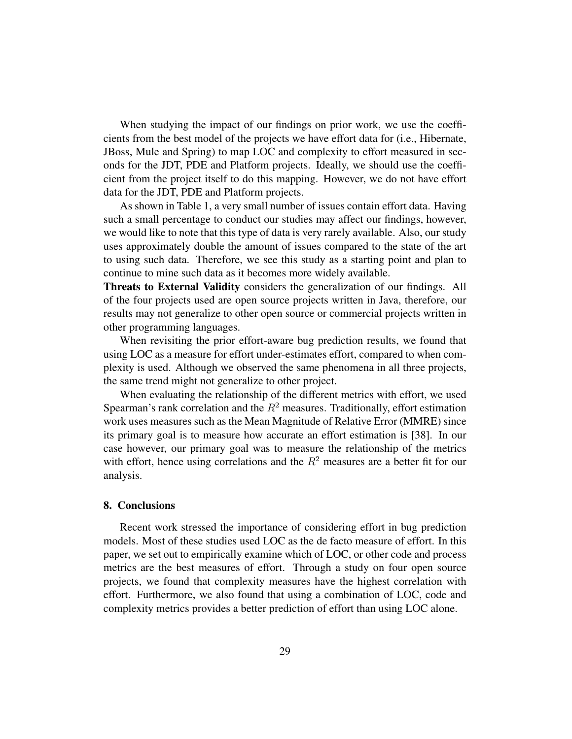When studying the impact of our findings on prior work, we use the coefficients from the best model of the projects we have effort data for (i.e., Hibernate, JBoss, Mule and Spring) to map LOC and complexity to effort measured in seconds for the JDT, PDE and Platform projects. Ideally, we should use the coefficient from the project itself to do this mapping. However, we do not have effort data for the JDT, PDE and Platform projects.

As shown in Table 1, a very small number of issues contain effort data. Having such a small percentage to conduct our studies may affect our findings, however, we would like to note that this type of data is very rarely available. Also, our study uses approximately double the amount of issues compared to the state of the art to using such data. Therefore, we see this study as a starting point and plan to continue to mine such data as it becomes more widely available.

Threats to External Validity considers the generalization of our findings. All of the four projects used are open source projects written in Java, therefore, our results may not generalize to other open source or commercial projects written in other programming languages.

When revisiting the prior effort-aware bug prediction results, we found that using LOC as a measure for effort under-estimates effort, compared to when complexity is used. Although we observed the same phenomena in all three projects, the same trend might not generalize to other project.

When evaluating the relationship of the different metrics with effort, we used Spearman's rank correlation and the  $R<sup>2</sup>$  measures. Traditionally, effort estimation work uses measures such as the Mean Magnitude of Relative Error (MMRE) since its primary goal is to measure how accurate an effort estimation is [38]. In our case however, our primary goal was to measure the relationship of the metrics with effort, hence using correlations and the  $R<sup>2</sup>$  measures are a better fit for our analysis.

#### 8. Conclusions

Recent work stressed the importance of considering effort in bug prediction models. Most of these studies used LOC as the de facto measure of effort. In this paper, we set out to empirically examine which of LOC, or other code and process metrics are the best measures of effort. Through a study on four open source projects, we found that complexity measures have the highest correlation with effort. Furthermore, we also found that using a combination of LOC, code and complexity metrics provides a better prediction of effort than using LOC alone.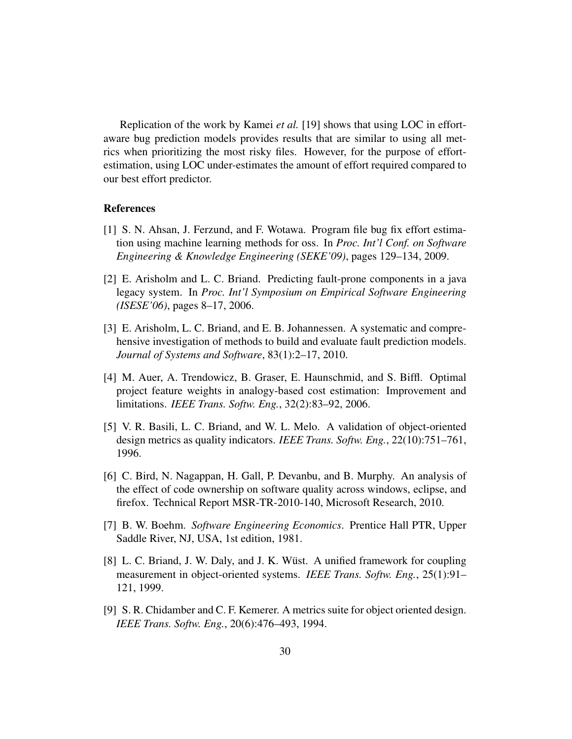Replication of the work by Kamei *et al.* [19] shows that using LOC in effortaware bug prediction models provides results that are similar to using all metrics when prioritizing the most risky files. However, for the purpose of effortestimation, using LOC under-estimates the amount of effort required compared to our best effort predictor.

## References

- [1] S. N. Ahsan, J. Ferzund, and F. Wotawa. Program file bug fix effort estimation using machine learning methods for oss. In *Proc. Int'l Conf. on Software Engineering & Knowledge Engineering (SEKE'09)*, pages 129–134, 2009.
- [2] E. Arisholm and L. C. Briand. Predicting fault-prone components in a java legacy system. In *Proc. Int'l Symposium on Empirical Software Engineering (ISESE'06)*, pages 8–17, 2006.
- [3] E. Arisholm, L. C. Briand, and E. B. Johannessen. A systematic and comprehensive investigation of methods to build and evaluate fault prediction models. *Journal of Systems and Software*, 83(1):2–17, 2010.
- [4] M. Auer, A. Trendowicz, B. Graser, E. Haunschmid, and S. Biffl. Optimal project feature weights in analogy-based cost estimation: Improvement and limitations. *IEEE Trans. Softw. Eng.*, 32(2):83–92, 2006.
- [5] V. R. Basili, L. C. Briand, and W. L. Melo. A validation of object-oriented design metrics as quality indicators. *IEEE Trans. Softw. Eng.*, 22(10):751–761, 1996.
- [6] C. Bird, N. Nagappan, H. Gall, P. Devanbu, and B. Murphy. An analysis of the effect of code ownership on software quality across windows, eclipse, and firefox. Technical Report MSR-TR-2010-140, Microsoft Research, 2010.
- [7] B. W. Boehm. *Software Engineering Economics*. Prentice Hall PTR, Upper Saddle River, NJ, USA, 1st edition, 1981.
- [8] L. C. Briand, J. W. Daly, and J. K. Wüst. A unified framework for coupling measurement in object-oriented systems. *IEEE Trans. Softw. Eng.*, 25(1):91– 121, 1999.
- [9] S. R. Chidamber and C. F. Kemerer. A metrics suite for object oriented design. *IEEE Trans. Softw. Eng.*, 20(6):476–493, 1994.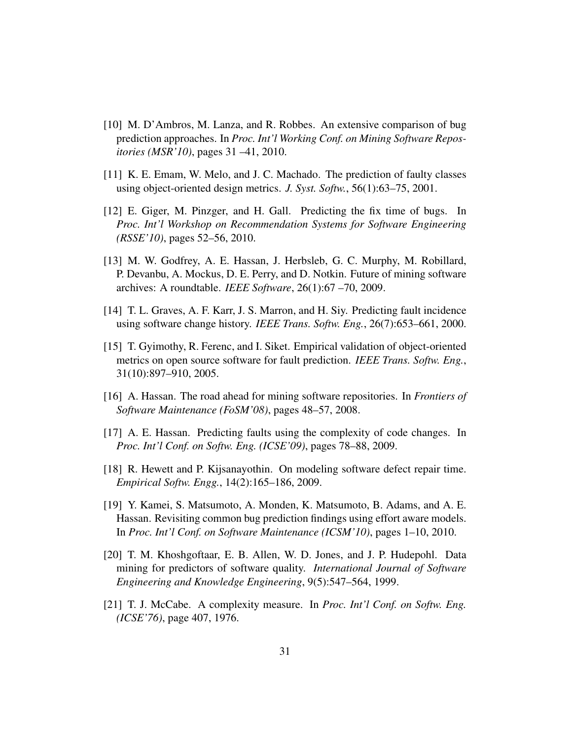- [10] M. D'Ambros, M. Lanza, and R. Robbes. An extensive comparison of bug prediction approaches. In *Proc. Int'l Working Conf. on Mining Software Repositories (MSR'10)*, pages 31 –41, 2010.
- [11] K. E. Emam, W. Melo, and J. C. Machado. The prediction of faulty classes using object-oriented design metrics. *J. Syst. Softw.*, 56(1):63–75, 2001.
- [12] E. Giger, M. Pinzger, and H. Gall. Predicting the fix time of bugs. In *Proc. Int'l Workshop on Recommendation Systems for Software Engineering (RSSE'10)*, pages 52–56, 2010.
- [13] M. W. Godfrey, A. E. Hassan, J. Herbsleb, G. C. Murphy, M. Robillard, P. Devanbu, A. Mockus, D. E. Perry, and D. Notkin. Future of mining software archives: A roundtable. *IEEE Software*, 26(1):67 –70, 2009.
- [14] T. L. Graves, A. F. Karr, J. S. Marron, and H. Siy. Predicting fault incidence using software change history. *IEEE Trans. Softw. Eng.*, 26(7):653–661, 2000.
- [15] T. Gyimothy, R. Ferenc, and I. Siket. Empirical validation of object-oriented metrics on open source software for fault prediction. *IEEE Trans. Softw. Eng.*, 31(10):897–910, 2005.
- [16] A. Hassan. The road ahead for mining software repositories. In *Frontiers of Software Maintenance (FoSM'08)*, pages 48–57, 2008.
- [17] A. E. Hassan. Predicting faults using the complexity of code changes. In *Proc. Int'l Conf. on Softw. Eng. (ICSE'09)*, pages 78–88, 2009.
- [18] R. Hewett and P. Kijsanayothin. On modeling software defect repair time. *Empirical Softw. Engg.*, 14(2):165–186, 2009.
- [19] Y. Kamei, S. Matsumoto, A. Monden, K. Matsumoto, B. Adams, and A. E. Hassan. Revisiting common bug prediction findings using effort aware models. In *Proc. Int'l Conf. on Software Maintenance (ICSM'10)*, pages 1–10, 2010.
- [20] T. M. Khoshgoftaar, E. B. Allen, W. D. Jones, and J. P. Hudepohl. Data mining for predictors of software quality. *International Journal of Software Engineering and Knowledge Engineering*, 9(5):547–564, 1999.
- [21] T. J. McCabe. A complexity measure. In *Proc. Int'l Conf. on Softw. Eng. (ICSE'76)*, page 407, 1976.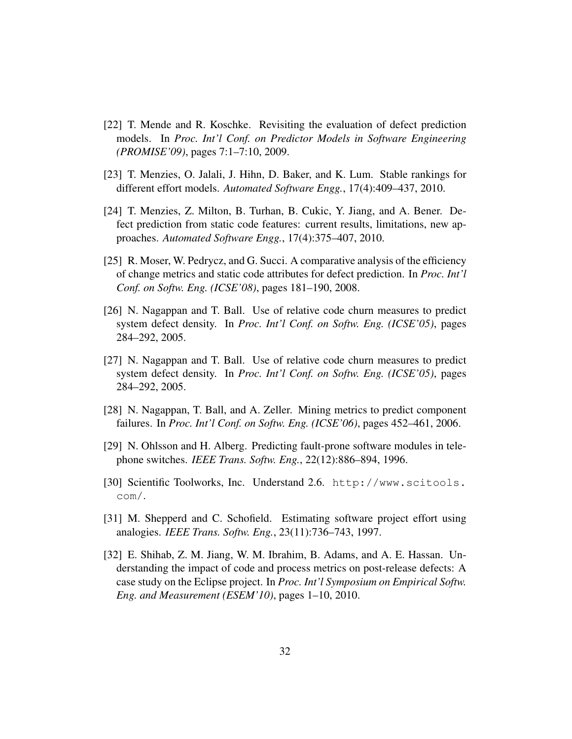- [22] T. Mende and R. Koschke. Revisiting the evaluation of defect prediction models. In *Proc. Int'l Conf. on Predictor Models in Software Engineering (PROMISE'09)*, pages 7:1–7:10, 2009.
- [23] T. Menzies, O. Jalali, J. Hihn, D. Baker, and K. Lum. Stable rankings for different effort models. *Automated Software Engg.*, 17(4):409–437, 2010.
- [24] T. Menzies, Z. Milton, B. Turhan, B. Cukic, Y. Jiang, and A. Bener. Defect prediction from static code features: current results, limitations, new approaches. *Automated Software Engg.*, 17(4):375–407, 2010.
- [25] R. Moser, W. Pedrycz, and G. Succi. A comparative analysis of the efficiency of change metrics and static code attributes for defect prediction. In *Proc. Int'l Conf. on Softw. Eng. (ICSE'08)*, pages 181–190, 2008.
- [26] N. Nagappan and T. Ball. Use of relative code churn measures to predict system defect density. In *Proc. Int'l Conf. on Softw. Eng. (ICSE'05)*, pages 284–292, 2005.
- [27] N. Nagappan and T. Ball. Use of relative code churn measures to predict system defect density. In *Proc. Int'l Conf. on Softw. Eng. (ICSE'05)*, pages 284–292, 2005.
- [28] N. Nagappan, T. Ball, and A. Zeller. Mining metrics to predict component failures. In *Proc. Int'l Conf. on Softw. Eng. (ICSE'06)*, pages 452–461, 2006.
- [29] N. Ohlsson and H. Alberg. Predicting fault-prone software modules in telephone switches. *IEEE Trans. Softw. Eng.*, 22(12):886–894, 1996.
- [30] Scientific Toolworks, Inc. Understand 2.6. http://www.scitools. com/.
- [31] M. Shepperd and C. Schofield. Estimating software project effort using analogies. *IEEE Trans. Softw. Eng.*, 23(11):736–743, 1997.
- [32] E. Shihab, Z. M. Jiang, W. M. Ibrahim, B. Adams, and A. E. Hassan. Understanding the impact of code and process metrics on post-release defects: A case study on the Eclipse project. In *Proc. Int'l Symposium on Empirical Softw. Eng. and Measurement (ESEM'10)*, pages 1–10, 2010.